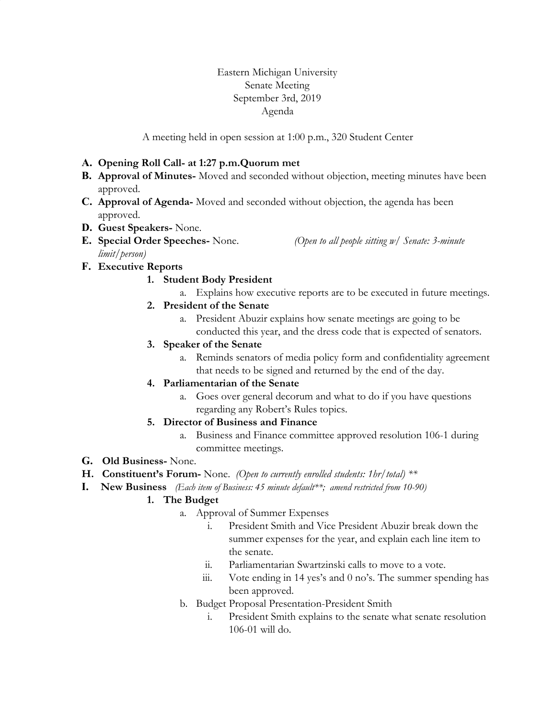Eastern Michigan University Senate Meeting September 3rd, 2019 Agenda

A meeting held in open session at 1:00 p.m., 320 Student Center

## **A. Opening Roll Call- at 1:27 p.m.Quorum met**

- **B. Approval of Minutes-** Moved and seconded without objection, meeting minutes have been approved.
- **C. Approval of Agenda-** Moved and seconded without objection, the agenda has been approved.
- **D. Guest Speakers-** None.
- **E. Special Order Speeches-** None. *(Open to all people sitting w/ Senate: 3-minute limit/person)*

**F. Executive Reports**

# **1. Student Body President**

- a. Explains how executive reports are to be executed in future meetings.
- **2. President of the Senate**
	- a. President Abuzir explains how senate meetings are going to be conducted this year, and the dress code that is expected of senators.
- **3. Speaker of the Senate**
	- a. Reminds senators of media policy form and confidentiality agreement that needs to be signed and returned by the end of the day.

### **4. Parliamentarian of the Senate**

a. Goes over general decorum and what to do if you have questions regarding any Robert's Rules topics.

### **5. Director of Business and Finance**

- a. Business and Finance committee approved resolution 106-1 during committee meetings.
- **G. Old Business-** None.
- **H. Constituent's Forum-** None.*(Open to currently enrolled students: 1hr/total) \*\**
- **I. New Business** *(Each item of Business: 45 minute default\*\*; amend restricted from 10-90)*

### **1. The Budget**

- a. Approval of Summer Expenses
	- i. President Smith and Vice President Abuzir break down the summer expenses for the year, and explain each line item to the senate.
	- ii. Parliamentarian Swartzinski calls to move to a vote.
	- iii. Vote ending in 14 yes's and 0 no's. The summer spending has been approved.
- b. Budget Proposal Presentation-President Smith
	- i. President Smith explains to the senate what senate resolution 106-01 will do.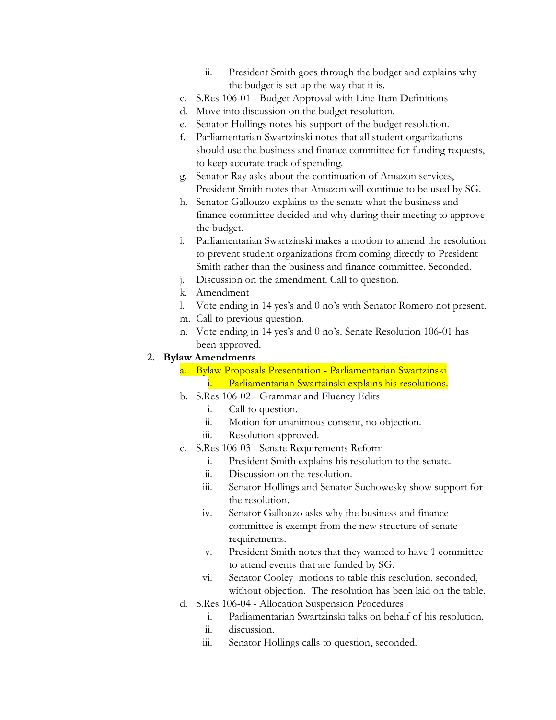- ii. President Smith goes through the budget and explains why the budget is set up the way that it is.
- c. S.Res 106-01 Budget Approval with Line Item Definitions
- d. Move into discussion on the budget resolution.
- e. Senator Hollings notes his support of the budget resolution.
- f. Parliamentarian Swartzinski notes that all student organizations should use the business and finance committee for funding requests, to keep accurate track of spending.
- g. Senator Ray asks about the continuation of Amazon services, President Smith notes that Amazon will continue to be used by SG.
- h. Senator Gallouzo explains to the senate what the business and finance committee decided and why during their meeting to approve the budget.
- i. Parliamentarian Swartzinski makes a motion to amend the resolution to prevent student organizations from coming directly to President Smith rather than the business and finance committee. Seconded.
- j. Discussion on the amendment. Call to question.
- k. Amendment
- l. Vote ending in 14 yes's and 0 no's with Senator Romero not present.
- m. Call to previous question.
- n. Vote ending in 14 yes's and 0 no's. Senate Resolution 106-01 has been approved.

#### **2. Bylaw Amendments**

- a. Bylaw Proposals Presentation Parliamentarian Swartzinski i. Parliamentarian Swartzinski explains his resolutions.
- b. S.Res 106-02 Grammar and Fluency Edits
	- i. Call to question.
	- ii. Motion for unanimous consent, no objection.
	- iii. Resolution approved.
- c. S.Res 106-03 Senate Requirements Reform
	- i. President Smith explains his resolution to the senate.
	- ii. Discussion on the resolution.
	- iii. Senator Hollings and Senator Suchowesky show support for the resolution.
	- iv. Senator Gallouzo asks why the business and finance committee is exempt from the new structure of senate requirements.
	- v. President Smith notes that they wanted to have 1 committee to attend events that are funded by SG.
	- vi. Senator Cooley motions to table this resolution. seconded, without objection. The resolution has been laid on the table.
- d. S.Res 106-04 Allocation Suspension Procedures
	- i. Parliamentarian Swartzinski talks on behalf of his resolution.
	- ii. discussion.
	- iii. Senator Hollings calls to question, seconded.